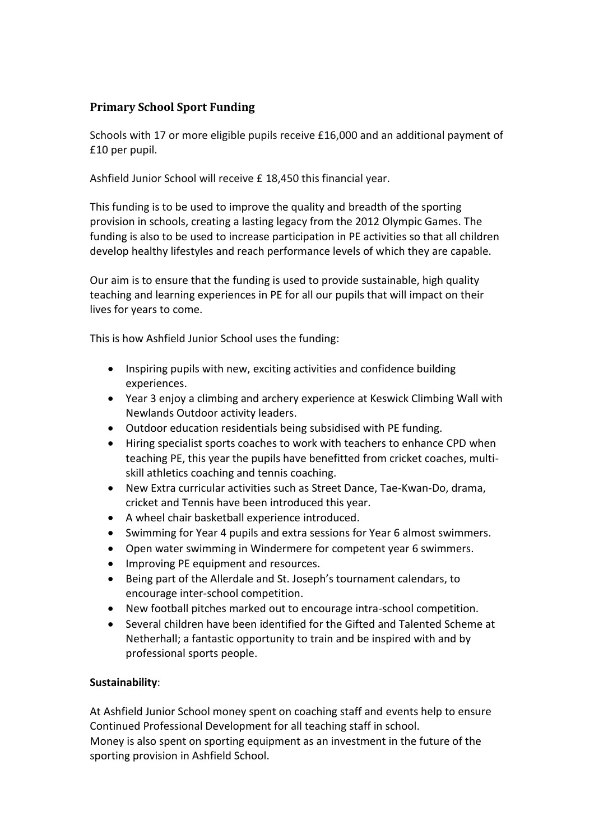## **Primary School Sport Funding**

Schools with 17 or more eligible pupils receive £16,000 and an additional payment of £10 per pupil.

Ashfield Junior School will receive £ 18,450 this financial year.

This funding is to be used to improve the quality and breadth of the sporting provision in schools, creating a lasting legacy from the 2012 Olympic Games. The funding is also to be used to increase participation in PE activities so that all children develop healthy lifestyles and reach performance levels of which they are capable.

Our aim is to ensure that the funding is used to provide sustainable, high quality teaching and learning experiences in PE for all our pupils that will impact on their lives for years to come.

This is how Ashfield Junior School uses the funding:

- Inspiring pupils with new, exciting activities and confidence building experiences.
- Year 3 enjoy a climbing and archery experience at Keswick Climbing Wall with Newlands Outdoor activity leaders.
- Outdoor education residentials being subsidised with PE funding.
- Hiring specialist sports coaches to work with teachers to enhance CPD when teaching PE, this year the pupils have benefitted from cricket coaches, multiskill athletics coaching and tennis coaching.
- New Extra curricular activities such as Street Dance, Tae-Kwan-Do, drama, cricket and Tennis have been introduced this year.
- A wheel chair basketball experience introduced.
- Swimming for Year 4 pupils and extra sessions for Year 6 almost swimmers.
- Open water swimming in Windermere for competent year 6 swimmers.
- Improving PE equipment and resources.
- Being part of the Allerdale and St. Joseph's tournament calendars, to encourage inter-school competition.
- New football pitches marked out to encourage intra-school competition.
- Several children have been identified for the Gifted and Talented Scheme at Netherhall; a fantastic opportunity to train and be inspired with and by professional sports people.

## **Sustainability**:

At Ashfield Junior School money spent on coaching staff and events help to ensure Continued Professional Development for all teaching staff in school. Money is also spent on sporting equipment as an investment in the future of the sporting provision in Ashfield School.